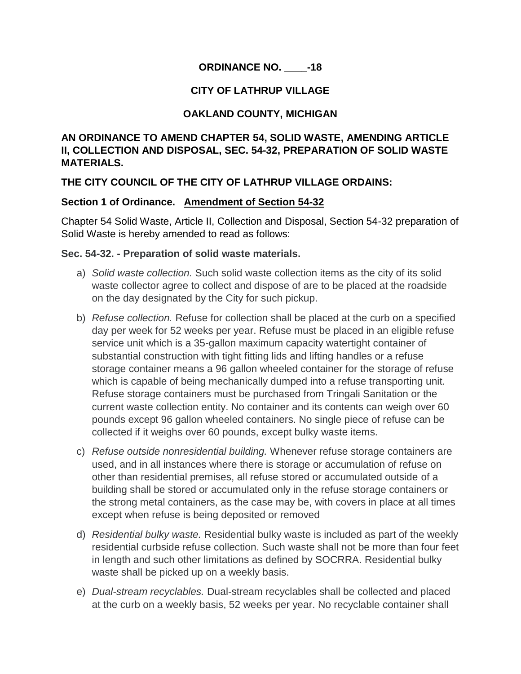## **ORDINANCE NO. \_\_\_\_-18**

## **CITY OF LATHRUP VILLAGE**

## **OAKLAND COUNTY, MICHIGAN**

## **AN ORDINANCE TO AMEND CHAPTER 54, SOLID WASTE, AMENDING ARTICLE II, COLLECTION AND DISPOSAL, SEC. 54-32, PREPARATION OF SOLID WASTE MATERIALS.**

## **THE CITY COUNCIL OF THE CITY OF LATHRUP VILLAGE ORDAINS:**

#### **Section 1 of Ordinance. Amendment of Section 54-32**

Chapter 54 Solid Waste, Article II, Collection and Disposal, Section 54-32 preparation of Solid Waste is hereby amended to read as follows:

#### **Sec. 54-32. - Preparation of solid waste materials.**

- a) *Solid waste collection.* Such solid waste collection items as the city of its solid waste collector agree to collect and dispose of are to be placed at the roadside on the day designated by the City for such pickup.
- b) *Refuse collection.* Refuse for collection shall be placed at the curb on a specified day per week for 52 weeks per year. Refuse must be placed in an eligible refuse service unit which is a 35-gallon maximum capacity watertight container of substantial construction with tight fitting lids and lifting handles or a refuse storage container means a 96 gallon wheeled container for the storage of refuse which is capable of being mechanically dumped into a refuse transporting unit. Refuse storage containers must be purchased from Tringali Sanitation or the current waste collection entity. No container and its contents can weigh over 60 pounds except 96 gallon wheeled containers. No single piece of refuse can be collected if it weighs over 60 pounds, except bulky waste items.
- c) *Refuse outside nonresidential building.* Whenever refuse storage containers are used, and in all instances where there is storage or accumulation of refuse on other than residential premises, all refuse stored or accumulated outside of a building shall be stored or accumulated only in the refuse storage containers or the strong metal containers, as the case may be, with covers in place at all times except when refuse is being deposited or removed
- d) *Residential bulky waste.* Residential bulky waste is included as part of the weekly residential curbside refuse collection. Such waste shall not be more than four feet in length and such other limitations as defined by SOCRRA. Residential bulky waste shall be picked up on a weekly basis.
- e) *Dual-stream recyclables.* Dual-stream recyclables shall be collected and placed at the curb on a weekly basis, 52 weeks per year. No recyclable container shall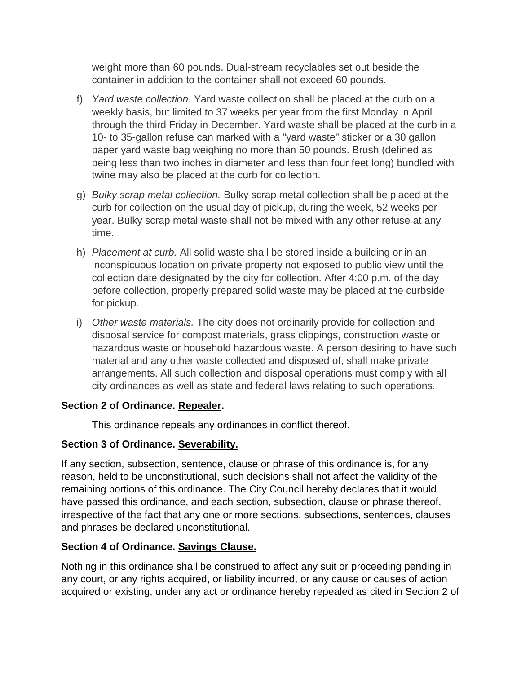weight more than 60 pounds. Dual-stream recyclables set out beside the container in addition to the container shall not exceed 60 pounds.

- f) *Yard waste collection.* Yard waste collection shall be placed at the curb on a weekly basis, but limited to 37 weeks per year from the first Monday in April through the third Friday in December. Yard waste shall be placed at the curb in a 10- to 35-gallon refuse can marked with a "yard waste" sticker or a 30 gallon paper yard waste bag weighing no more than 50 pounds. Brush (defined as being less than two inches in diameter and less than four feet long) bundled with twine may also be placed at the curb for collection.
- g) *Bulky scrap metal collection.* Bulky scrap metal collection shall be placed at the curb for collection on the usual day of pickup, during the week, 52 weeks per year. Bulky scrap metal waste shall not be mixed with any other refuse at any time.
- h) *Placement at curb.* All solid waste shall be stored inside a building or in an inconspicuous location on private property not exposed to public view until the collection date designated by the city for collection. After 4:00 p.m. of the day before collection, properly prepared solid waste may be placed at the curbside for pickup.
- i) *Other waste materials.* The city does not ordinarily provide for collection and disposal service for compost materials, grass clippings, construction waste or hazardous waste or household hazardous waste. A person desiring to have such material and any other waste collected and disposed of, shall make private arrangements. All such collection and disposal operations must comply with all city ordinances as well as state and federal laws relating to such operations.

## **Section 2 of Ordinance. Repealer.**

This ordinance repeals any ordinances in conflict thereof.

## **Section 3 of Ordinance. Severability.**

If any section, subsection, sentence, clause or phrase of this ordinance is, for any reason, held to be unconstitutional, such decisions shall not affect the validity of the remaining portions of this ordinance. The City Council hereby declares that it would have passed this ordinance, and each section, subsection, clause or phrase thereof, irrespective of the fact that any one or more sections, subsections, sentences, clauses and phrases be declared unconstitutional.

# **Section 4 of Ordinance. Savings Clause.**

Nothing in this ordinance shall be construed to affect any suit or proceeding pending in any court, or any rights acquired, or liability incurred, or any cause or causes of action acquired or existing, under any act or ordinance hereby repealed as cited in Section 2 of